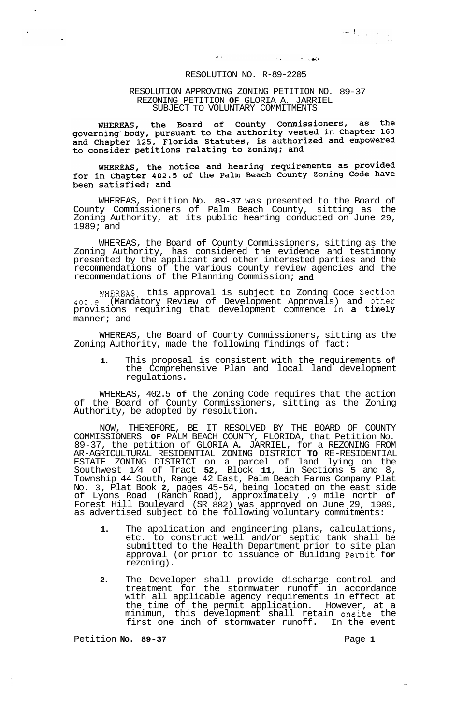## $\mathcal{L}_{\mathbf{a}}(\mathbf{a})$  . **Contract**

## RESOLUTION NO. R-89-2205

 $\mathbf{r}$  .

## RESOLUTION APPROVING ZONING PETITION NO. 89-37 REZONING PETITION **OF** GLORIA A. JARRIEL SUBJECT TO VOLUNTARY COMMITMENTS

the Board of County Commissioners, as the WHEREAS, whereas, the board of county commissioners, as the<br>governing body, pursuant to the authority vested in Chapter 163<br>and Chapter 125, Florida Statutes, is authorized and empowered to consider petitions relating to zoning; and

## WHEREAS, the notice and hearing requirements as provided<br>for in Chapter 402.5 of the Palm Beach County Zoning Code have been satisfied; and

WHEREAS, Petition No. 89-37 was presented to the Board of County Commissioners of Palm Beach County, sitting as the Zoning Authority, at its public hearing conducted on June 29, 1989; and

WHEREAS, the Board **of** County Commissioners, sitting as the Zoning Authority, has considered the evidence and testimony presented by the applicant and other interested parties and the recommendations of the various county review agencies and the recommendations of the Planning Commission; and

WHEREAS, this approval is subject to Zoning Code Section 402.9 (Mandatory Review of Development Approvals) and other provisions requiring that development commence in a timely manner; and

WHEREAS, the Board of County Commissioners, sitting as the Zoning Authority, made the following findings of fact:

**1.** This proposal is consistent with the requirements **of**  the Comprehensive Plan and local land development regulations.

WHEREAS, 402.5 **of** the Zoning Code requires that the action of the Board of County Commissioners, sitting as the Zoning Authority, be adopted by resolution.

NOW, THEREFORE, BE IT RESOLVED BY THE BOARD OF COUNTY COMMISSIONERS **OF** PALM BEACH COUNTY, FLORIDA, that Petition No. 89-37, the petition of GLORIA A. JARRIEL, for a REZONING FROM ESTATE ZONING DISTRICT on a parcel of land lying on the Southwest 1/4 of Tract **52,** Block **11,** in Sections 5 and 8, Township 44 South, Range 42 East, Palm Beach Farms Company Plat No. 3, Plat Book **2,** pages 45-54, being located on the east side of Lyons Road (Ranch Road), approximately .9 mile north **of**  Forest Hill Boulevard (SR 882) was approved on June 29, 1989, as advertised subject to the following voluntary commitments: AR-AGRICULTURAL RESIDENTIAL ZONING DISTRICT **TO** RE-RESIDENTIAL

- **1.** The application and engineering plans, calculations, etc. to construct well and/or septic tank shall be submitted to the Health Department prior to site plan approval (or prior to issuance of Building Permit **for**  rezoning).
- **2.** The Developer shall provide discharge control and treatment for the stormwater runoff in accordance with all applicable agency requirements in effect at the time of the permit application. However, at a minimum, this development shall retain onsite the first one inch of stormwater runoff. In the event

Petition **No. 89-37** Page 1